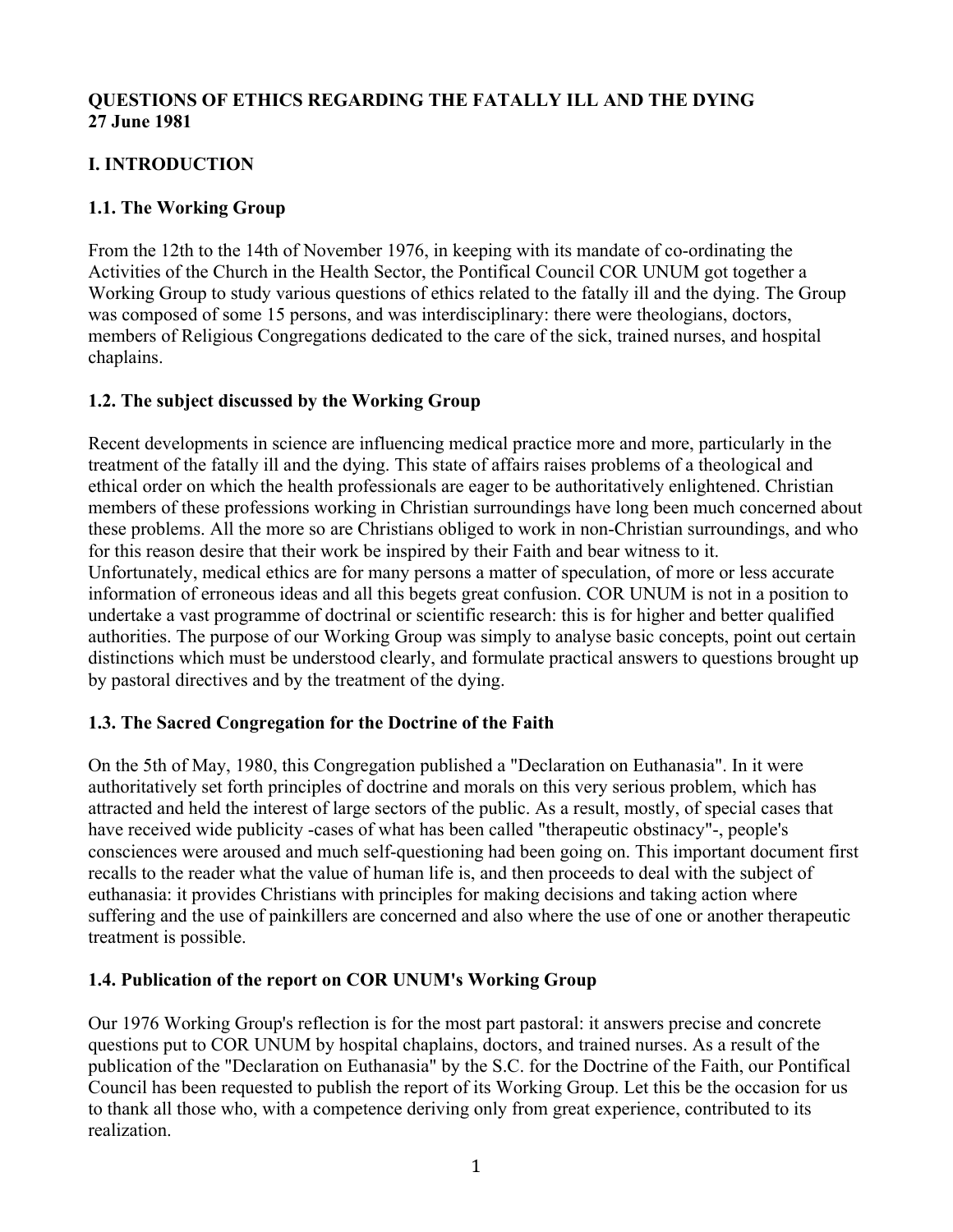#### **QUESTIONS OF ETHICS REGARDING THE FATALLY ILL AND THE DYING 27 June 1981**

# **I. INTRODUCTION**

# **1.1. The Working Group**

From the 12th to the 14th of November 1976, in keeping with its mandate of co-ordinating the Activities of the Church in the Health Sector, the Pontifical Council COR UNUM got together a Working Group to study various questions of ethics related to the fatally ill and the dying. The Group was composed of some 15 persons, and was interdisciplinary: there were theologians, doctors, members of Religious Congregations dedicated to the care of the sick, trained nurses, and hospital chaplains.

# **1.2. The subject discussed by the Working Group**

Recent developments in science are influencing medical practice more and more, particularly in the treatment of the fatally ill and the dying. This state of affairs raises problems of a theological and ethical order on which the health professionals are eager to be authoritatively enlightened. Christian members of these professions working in Christian surroundings have long been much concerned about these problems. All the more so are Christians obliged to work in non-Christian surroundings, and who for this reason desire that their work be inspired by their Faith and bear witness to it. Unfortunately, medical ethics are for many persons a matter of speculation, of more or less accurate information of erroneous ideas and all this begets great confusion. COR UNUM is not in a position to undertake a vast programme of doctrinal or scientific research: this is for higher and better qualified authorities. The purpose of our Working Group was simply to analyse basic concepts, point out certain distinctions which must be understood clearly, and formulate practical answers to questions brought up by pastoral directives and by the treatment of the dying.

# **1.3. The Sacred Congregation for the Doctrine of the Faith**

On the 5th of May, 1980, this Congregation published a "Declaration on Euthanasia". In it were authoritatively set forth principles of doctrine and morals on this very serious problem, which has attracted and held the interest of large sectors of the public. As a result, mostly, of special cases that have received wide publicity -cases of what has been called "therapeutic obstinacy"-, people's consciences were aroused and much self-questioning had been going on. This important document first recalls to the reader what the value of human life is, and then proceeds to deal with the subject of euthanasia: it provides Christians with principles for making decisions and taking action where suffering and the use of painkillers are concerned and also where the use of one or another therapeutic treatment is possible.

# **1.4. Publication of the report on COR UNUM's Working Group**

Our 1976 Working Group's reflection is for the most part pastoral: it answers precise and concrete questions put to COR UNUM by hospital chaplains, doctors, and trained nurses. As a result of the publication of the "Declaration on Euthanasia" by the S.C. for the Doctrine of the Faith, our Pontifical Council has been requested to publish the report of its Working Group. Let this be the occasion for us to thank all those who, with a competence deriving only from great experience, contributed to its realization.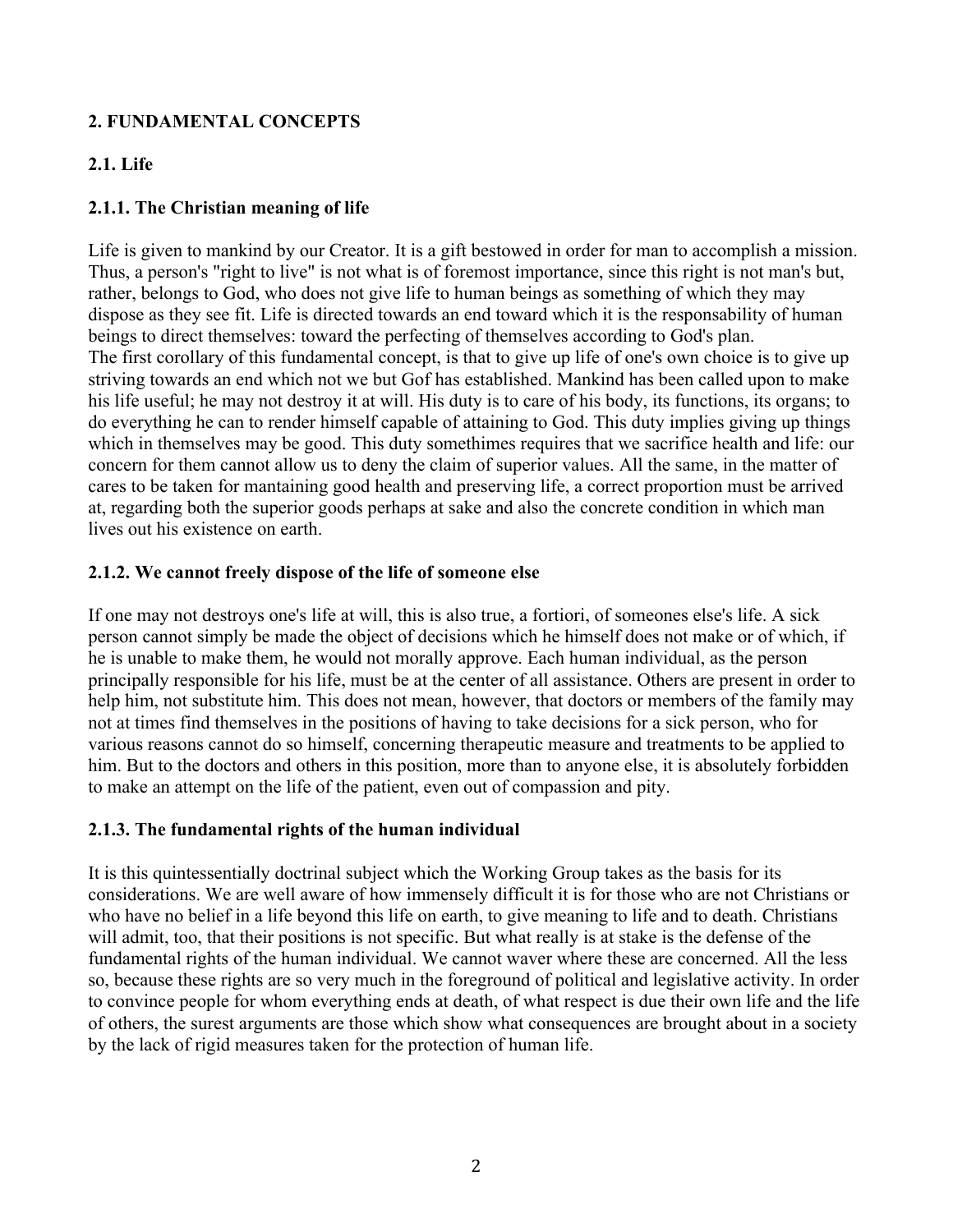# **2. FUNDAMENTAL CONCEPTS**

# **2.1. Life**

#### **2.1.1. The Christian meaning of life**

Life is given to mankind by our Creator. It is a gift bestowed in order for man to accomplish a mission. Thus, a person's "right to live" is not what is of foremost importance, since this right is not man's but, rather, belongs to God, who does not give life to human beings as something of which they may dispose as they see fit. Life is directed towards an end toward which it is the responsability of human beings to direct themselves: toward the perfecting of themselves according to God's plan. The first corollary of this fundamental concept, is that to give up life of one's own choice is to give up striving towards an end which not we but Gof has established. Mankind has been called upon to make his life useful; he may not destroy it at will. His duty is to care of his body, its functions, its organs; to do everything he can to render himself capable of attaining to God. This duty implies giving up things which in themselves may be good. This duty somethimes requires that we sacrifice health and life: our concern for them cannot allow us to deny the claim of superior values. All the same, in the matter of cares to be taken for mantaining good health and preserving life, a correct proportion must be arrived at, regarding both the superior goods perhaps at sake and also the concrete condition in which man lives out his existence on earth.

#### **2.1.2. We cannot freely dispose of the life of someone else**

If one may not destroys one's life at will, this is also true, a fortiori, of someones else's life. A sick person cannot simply be made the object of decisions which he himself does not make or of which, if he is unable to make them, he would not morally approve. Each human individual, as the person principally responsible for his life, must be at the center of all assistance. Others are present in order to help him, not substitute him. This does not mean, however, that doctors or members of the family may not at times find themselves in the positions of having to take decisions for a sick person, who for various reasons cannot do so himself, concerning therapeutic measure and treatments to be applied to him. But to the doctors and others in this position, more than to anyone else, it is absolutely forbidden to make an attempt on the life of the patient, even out of compassion and pity.

#### **2.1.3. The fundamental rights of the human individual**

It is this quintessentially doctrinal subject which the Working Group takes as the basis for its considerations. We are well aware of how immensely difficult it is for those who are not Christians or who have no belief in a life beyond this life on earth, to give meaning to life and to death. Christians will admit, too, that their positions is not specific. But what really is at stake is the defense of the fundamental rights of the human individual. We cannot waver where these are concerned. All the less so, because these rights are so very much in the foreground of political and legislative activity. In order to convince people for whom everything ends at death, of what respect is due their own life and the life of others, the surest arguments are those which show what consequences are brought about in a society by the lack of rigid measures taken for the protection of human life.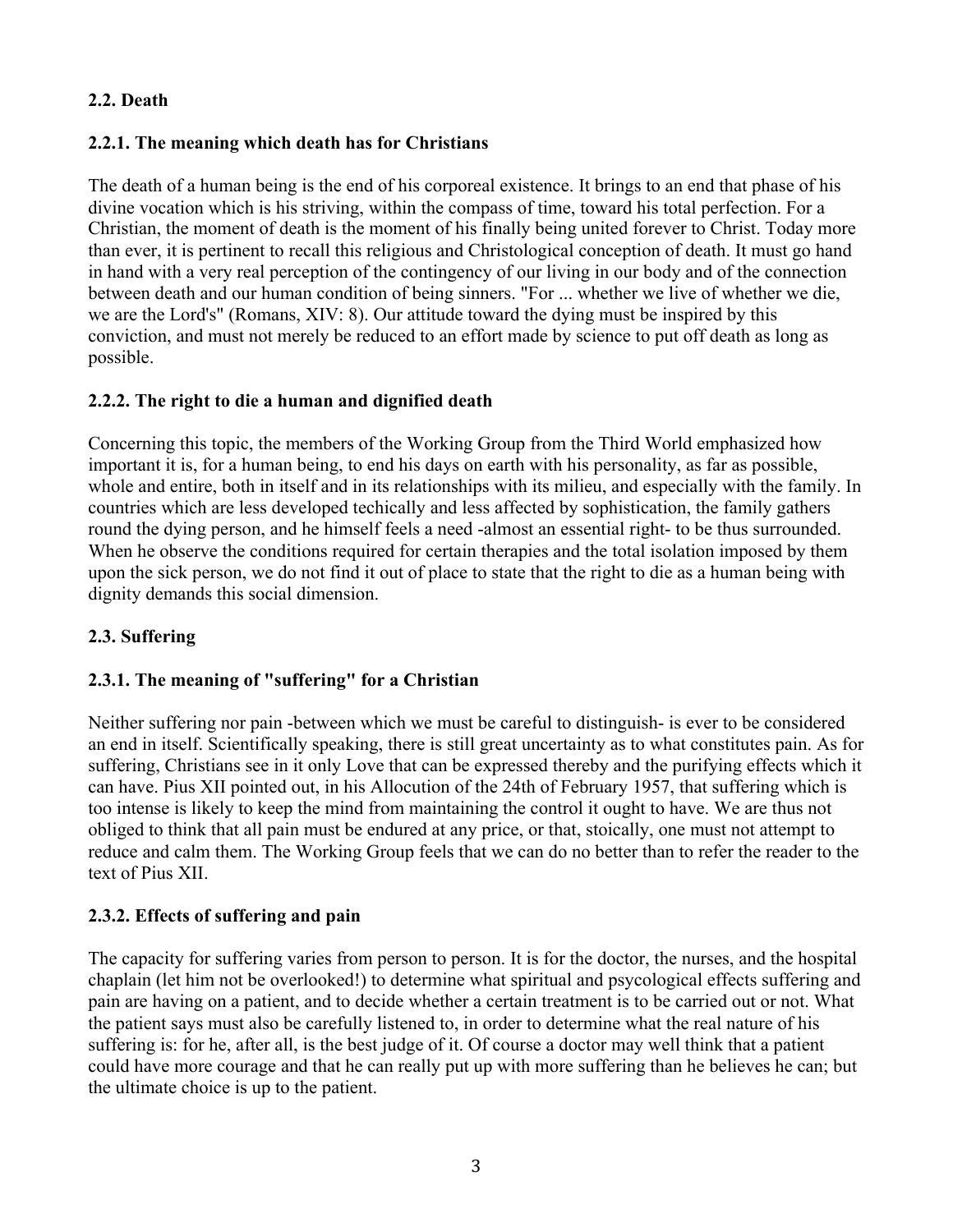### **2.2. Death**

### **2.2.1. The meaning which death has for Christians**

The death of a human being is the end of his corporeal existence. It brings to an end that phase of his divine vocation which is his striving, within the compass of time, toward his total perfection. For a Christian, the moment of death is the moment of his finally being united forever to Christ. Today more than ever, it is pertinent to recall this religious and Christological conception of death. It must go hand in hand with a very real perception of the contingency of our living in our body and of the connection between death and our human condition of being sinners. "For ... whether we live of whether we die, we are the Lord's" (Romans, XIV: 8). Our attitude toward the dying must be inspired by this conviction, and must not merely be reduced to an effort made by science to put off death as long as possible.

### **2.2.2. The right to die a human and dignified death**

Concerning this topic, the members of the Working Group from the Third World emphasized how important it is, for a human being, to end his days on earth with his personality, as far as possible, whole and entire, both in itself and in its relationships with its milieu, and especially with the family. In countries which are less developed techically and less affected by sophistication, the family gathers round the dying person, and he himself feels a need -almost an essential right- to be thus surrounded. When he observe the conditions required for certain therapies and the total isolation imposed by them upon the sick person, we do not find it out of place to state that the right to die as a human being with dignity demands this social dimension.

# **2.3. Suffering**

# **2.3.1. The meaning of "suffering" for a Christian**

Neither suffering nor pain -between which we must be careful to distinguish- is ever to be considered an end in itself. Scientifically speaking, there is still great uncertainty as to what constitutes pain. As for suffering, Christians see in it only Love that can be expressed thereby and the purifying effects which it can have. Pius XII pointed out, in his Allocution of the 24th of February 1957, that suffering which is too intense is likely to keep the mind from maintaining the control it ought to have. We are thus not obliged to think that all pain must be endured at any price, or that, stoically, one must not attempt to reduce and calm them. The Working Group feels that we can do no better than to refer the reader to the text of Pius XII.

#### **2.3.2. Effects of suffering and pain**

The capacity for suffering varies from person to person. It is for the doctor, the nurses, and the hospital chaplain (let him not be overlooked!) to determine what spiritual and psycological effects suffering and pain are having on a patient, and to decide whether a certain treatment is to be carried out or not. What the patient says must also be carefully listened to, in order to determine what the real nature of his suffering is: for he, after all, is the best judge of it. Of course a doctor may well think that a patient could have more courage and that he can really put up with more suffering than he believes he can; but the ultimate choice is up to the patient.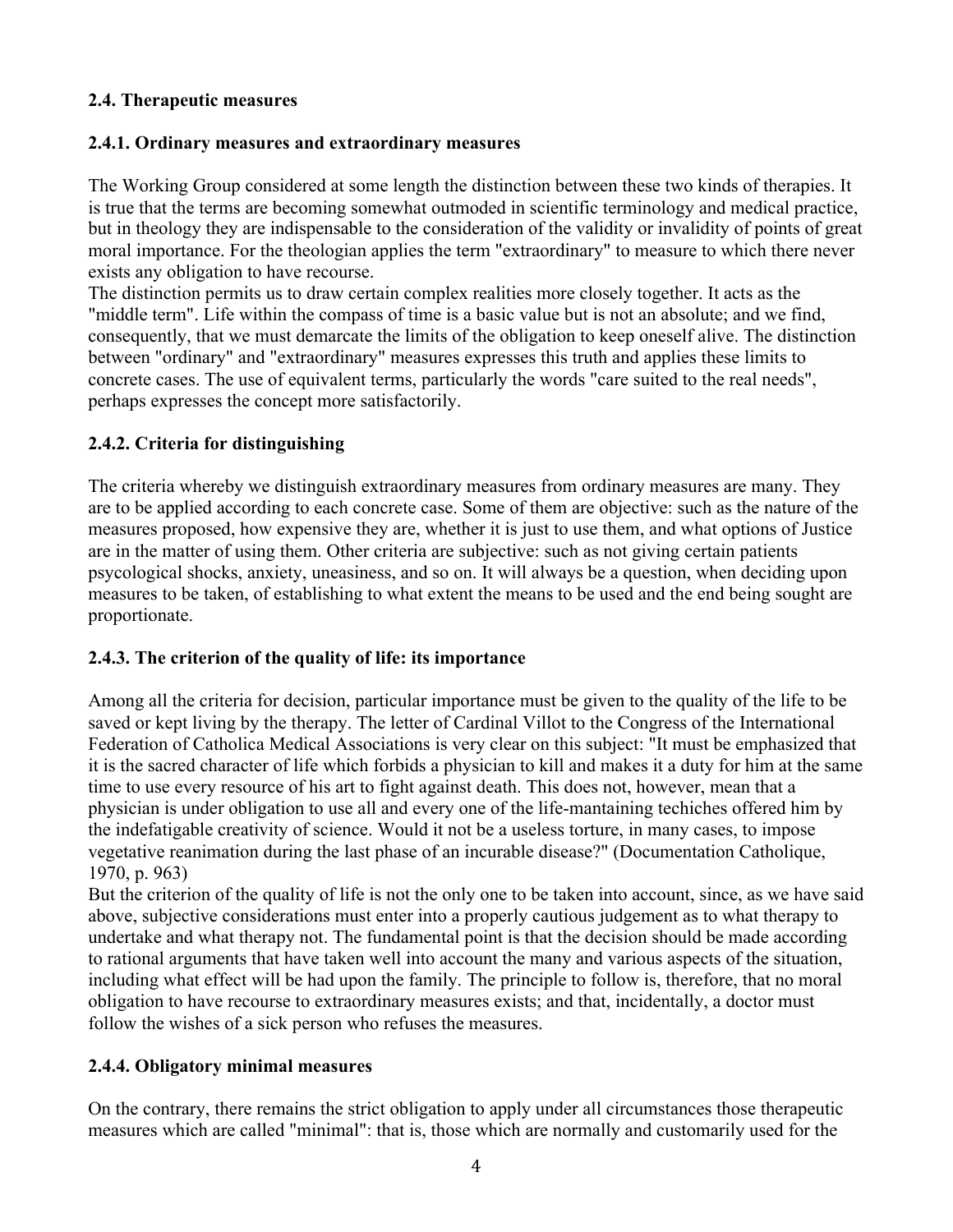### **2.4. Therapeutic measures**

#### **2.4.1. Ordinary measures and extraordinary measures**

The Working Group considered at some length the distinction between these two kinds of therapies. It is true that the terms are becoming somewhat outmoded in scientific terminology and medical practice, but in theology they are indispensable to the consideration of the validity or invalidity of points of great moral importance. For the theologian applies the term "extraordinary" to measure to which there never exists any obligation to have recourse.

The distinction permits us to draw certain complex realities more closely together. It acts as the "middle term". Life within the compass of time is a basic value but is not an absolute; and we find, consequently, that we must demarcate the limits of the obligation to keep oneself alive. The distinction between "ordinary" and "extraordinary" measures expresses this truth and applies these limits to concrete cases. The use of equivalent terms, particularly the words "care suited to the real needs", perhaps expresses the concept more satisfactorily.

### **2.4.2. Criteria for distinguishing**

The criteria whereby we distinguish extraordinary measures from ordinary measures are many. They are to be applied according to each concrete case. Some of them are objective: such as the nature of the measures proposed, how expensive they are, whether it is just to use them, and what options of Justice are in the matter of using them. Other criteria are subjective: such as not giving certain patients psycological shocks, anxiety, uneasiness, and so on. It will always be a question, when deciding upon measures to be taken, of establishing to what extent the means to be used and the end being sought are proportionate.

#### **2.4.3. The criterion of the quality of life: its importance**

Among all the criteria for decision, particular importance must be given to the quality of the life to be saved or kept living by the therapy. The letter of Cardinal Villot to the Congress of the International Federation of Catholica Medical Associations is very clear on this subject: "It must be emphasized that it is the sacred character of life which forbids a physician to kill and makes it a duty for him at the same time to use every resource of his art to fight against death. This does not, however, mean that a physician is under obligation to use all and every one of the life-mantaining techiches offered him by the indefatigable creativity of science. Would it not be a useless torture, in many cases, to impose vegetative reanimation during the last phase of an incurable disease?" (Documentation Catholique, 1970, p. 963)

But the criterion of the quality of life is not the only one to be taken into account, since, as we have said above, subjective considerations must enter into a properly cautious judgement as to what therapy to undertake and what therapy not. The fundamental point is that the decision should be made according to rational arguments that have taken well into account the many and various aspects of the situation, including what effect will be had upon the family. The principle to follow is, therefore, that no moral obligation to have recourse to extraordinary measures exists; and that, incidentally, a doctor must follow the wishes of a sick person who refuses the measures.

#### **2.4.4. Obligatory minimal measures**

On the contrary, there remains the strict obligation to apply under all circumstances those therapeutic measures which are called "minimal": that is, those which are normally and customarily used for the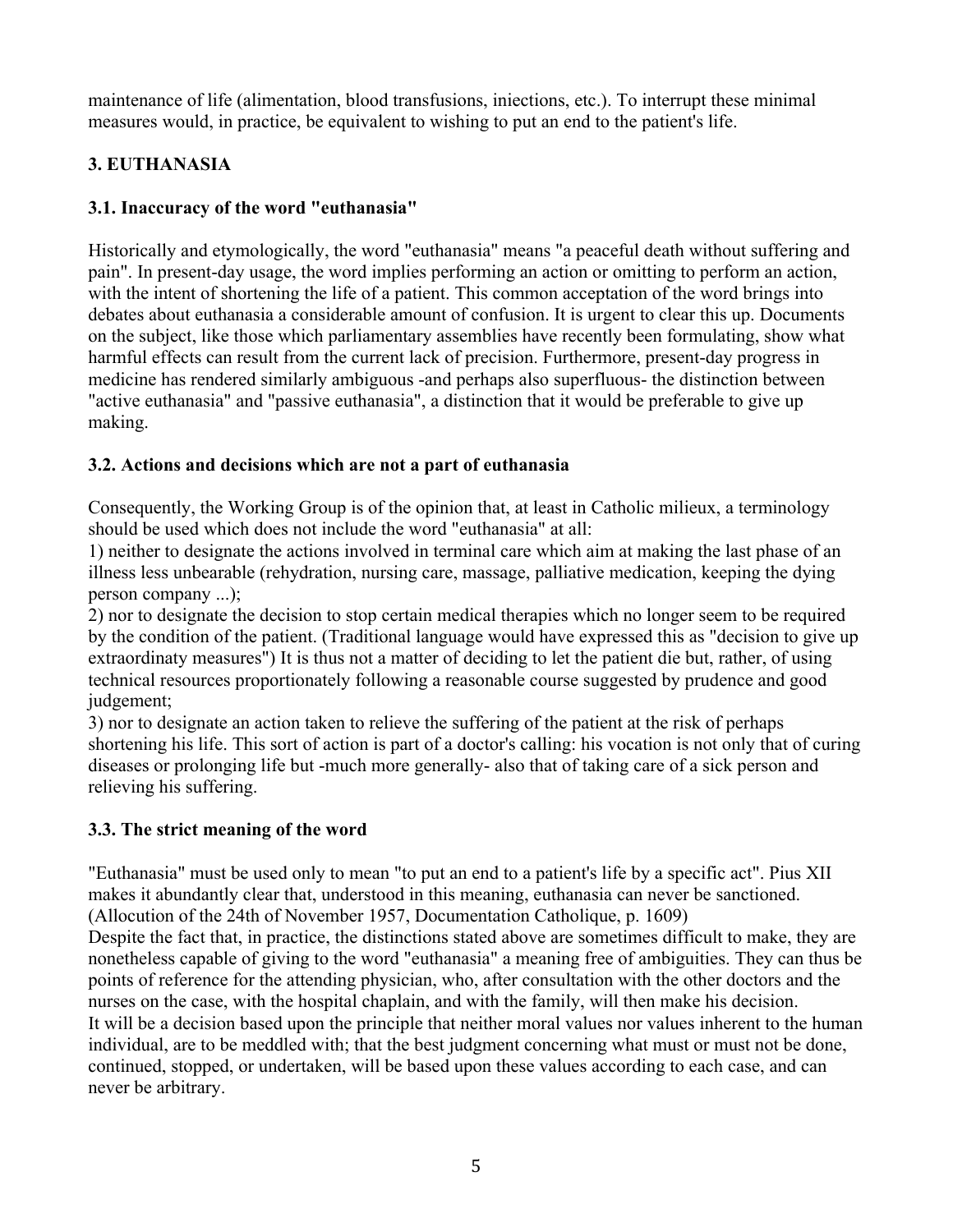maintenance of life (alimentation, blood transfusions, iniections, etc.). To interrupt these minimal measures would, in practice, be equivalent to wishing to put an end to the patient's life.

# **3. EUTHANASIA**

# **3.1. Inaccuracy of the word "euthanasia"**

Historically and etymologically, the word "euthanasia" means "a peaceful death without suffering and pain". In present-day usage, the word implies performing an action or omitting to perform an action, with the intent of shortening the life of a patient. This common acceptation of the word brings into debates about euthanasia a considerable amount of confusion. It is urgent to clear this up. Documents on the subject, like those which parliamentary assemblies have recently been formulating, show what harmful effects can result from the current lack of precision. Furthermore, present-day progress in medicine has rendered similarly ambiguous -and perhaps also superfluous- the distinction between "active euthanasia" and "passive euthanasia", a distinction that it would be preferable to give up making.

# **3.2. Actions and decisions which are not a part of euthanasia**

Consequently, the Working Group is of the opinion that, at least in Catholic milieux, a terminology should be used which does not include the word "euthanasia" at all:

1) neither to designate the actions involved in terminal care which aim at making the last phase of an illness less unbearable (rehydration, nursing care, massage, palliative medication, keeping the dying person company ...);

2) nor to designate the decision to stop certain medical therapies which no longer seem to be required by the condition of the patient. (Traditional language would have expressed this as "decision to give up extraordinaty measures") It is thus not a matter of deciding to let the patient die but, rather, of using technical resources proportionately following a reasonable course suggested by prudence and good judgement;

3) nor to designate an action taken to relieve the suffering of the patient at the risk of perhaps shortening his life. This sort of action is part of a doctor's calling: his vocation is not only that of curing diseases or prolonging life but -much more generally- also that of taking care of a sick person and relieving his suffering.

# **3.3. The strict meaning of the word**

"Euthanasia" must be used only to mean "to put an end to a patient's life by a specific act". Pius XII makes it abundantly clear that, understood in this meaning, euthanasia can never be sanctioned. (Allocution of the 24th of November 1957, Documentation Catholique, p. 1609)

Despite the fact that, in practice, the distinctions stated above are sometimes difficult to make, they are nonetheless capable of giving to the word "euthanasia" a meaning free of ambiguities. They can thus be points of reference for the attending physician, who, after consultation with the other doctors and the nurses on the case, with the hospital chaplain, and with the family, will then make his decision. It will be a decision based upon the principle that neither moral values nor values inherent to the human individual, are to be meddled with; that the best judgment concerning what must or must not be done, continued, stopped, or undertaken, will be based upon these values according to each case, and can never be arbitrary.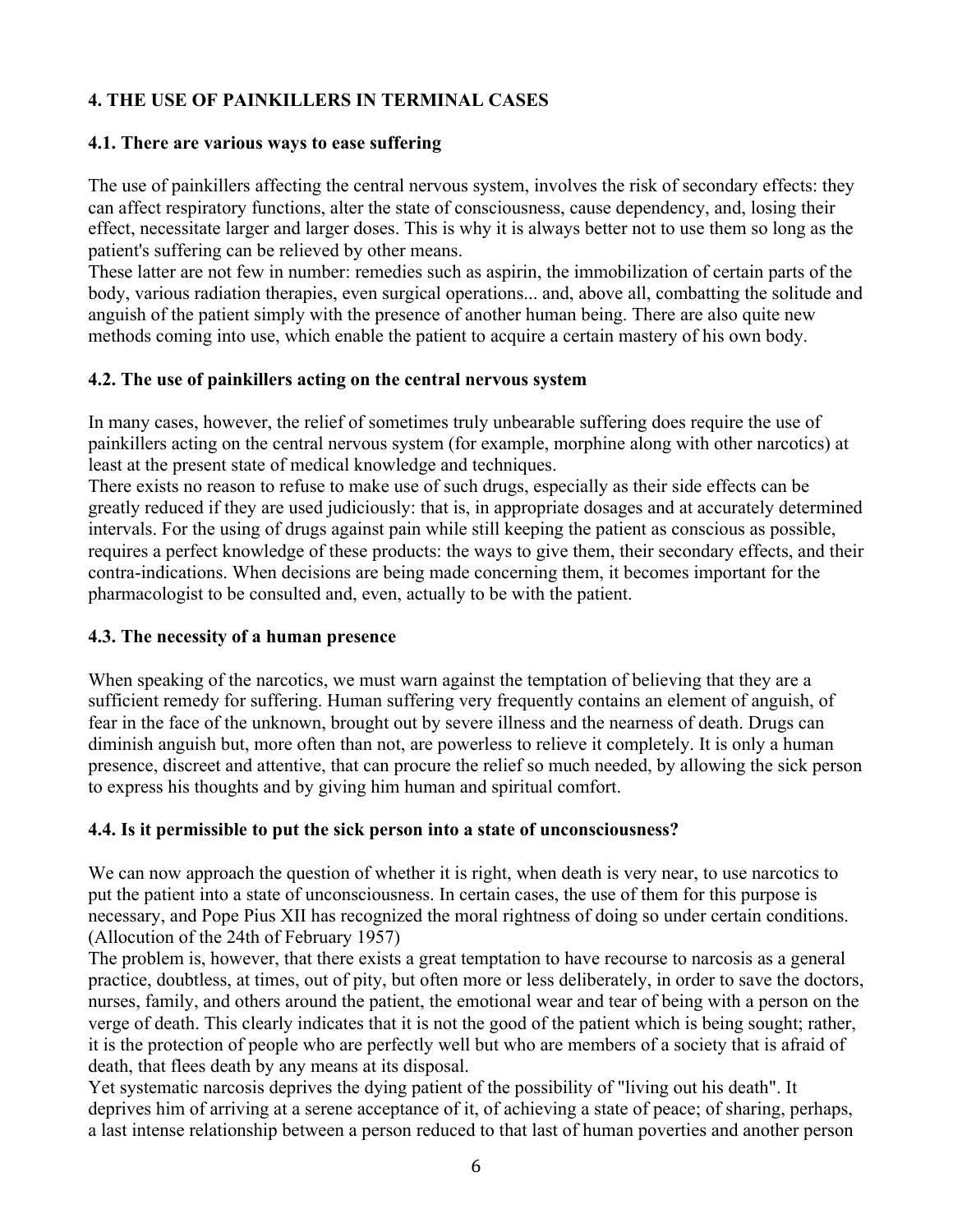# **4. THE USE OF PAINKILLERS IN TERMINAL CASES**

#### **4.1. There are various ways to ease suffering**

The use of painkillers affecting the central nervous system, involves the risk of secondary effects: they can affect respiratory functions, alter the state of consciousness, cause dependency, and, losing their effect, necessitate larger and larger doses. This is why it is always better not to use them so long as the patient's suffering can be relieved by other means.

These latter are not few in number: remedies such as aspirin, the immobilization of certain parts of the body, various radiation therapies, even surgical operations... and, above all, combatting the solitude and anguish of the patient simply with the presence of another human being. There are also quite new methods coming into use, which enable the patient to acquire a certain mastery of his own body.

#### **4.2. The use of painkillers acting on the central nervous system**

In many cases, however, the relief of sometimes truly unbearable suffering does require the use of painkillers acting on the central nervous system (for example, morphine along with other narcotics) at least at the present state of medical knowledge and techniques.

There exists no reason to refuse to make use of such drugs, especially as their side effects can be greatly reduced if they are used judiciously: that is, in appropriate dosages and at accurately determined intervals. For the using of drugs against pain while still keeping the patient as conscious as possible, requires a perfect knowledge of these products: the ways to give them, their secondary effects, and their contra-indications. When decisions are being made concerning them, it becomes important for the pharmacologist to be consulted and, even, actually to be with the patient.

#### **4.3. The necessity of a human presence**

When speaking of the narcotics, we must warn against the temptation of believing that they are a sufficient remedy for suffering. Human suffering very frequently contains an element of anguish, of fear in the face of the unknown, brought out by severe illness and the nearness of death. Drugs can diminish anguish but, more often than not, are powerless to relieve it completely. It is only a human presence, discreet and attentive, that can procure the relief so much needed, by allowing the sick person to express his thoughts and by giving him human and spiritual comfort.

#### **4.4. Is it permissible to put the sick person into a state of unconsciousness?**

We can now approach the question of whether it is right, when death is very near, to use narcotics to put the patient into a state of unconsciousness. In certain cases, the use of them for this purpose is necessary, and Pope Pius XII has recognized the moral rightness of doing so under certain conditions. (Allocution of the 24th of February 1957)

The problem is, however, that there exists a great temptation to have recourse to narcosis as a general practice, doubtless, at times, out of pity, but often more or less deliberately, in order to save the doctors, nurses, family, and others around the patient, the emotional wear and tear of being with a person on the verge of death. This clearly indicates that it is not the good of the patient which is being sought; rather, it is the protection of people who are perfectly well but who are members of a society that is afraid of death, that flees death by any means at its disposal.

Yet systematic narcosis deprives the dying patient of the possibility of "living out his death". It deprives him of arriving at a serene acceptance of it, of achieving a state of peace; of sharing, perhaps, a last intense relationship between a person reduced to that last of human poverties and another person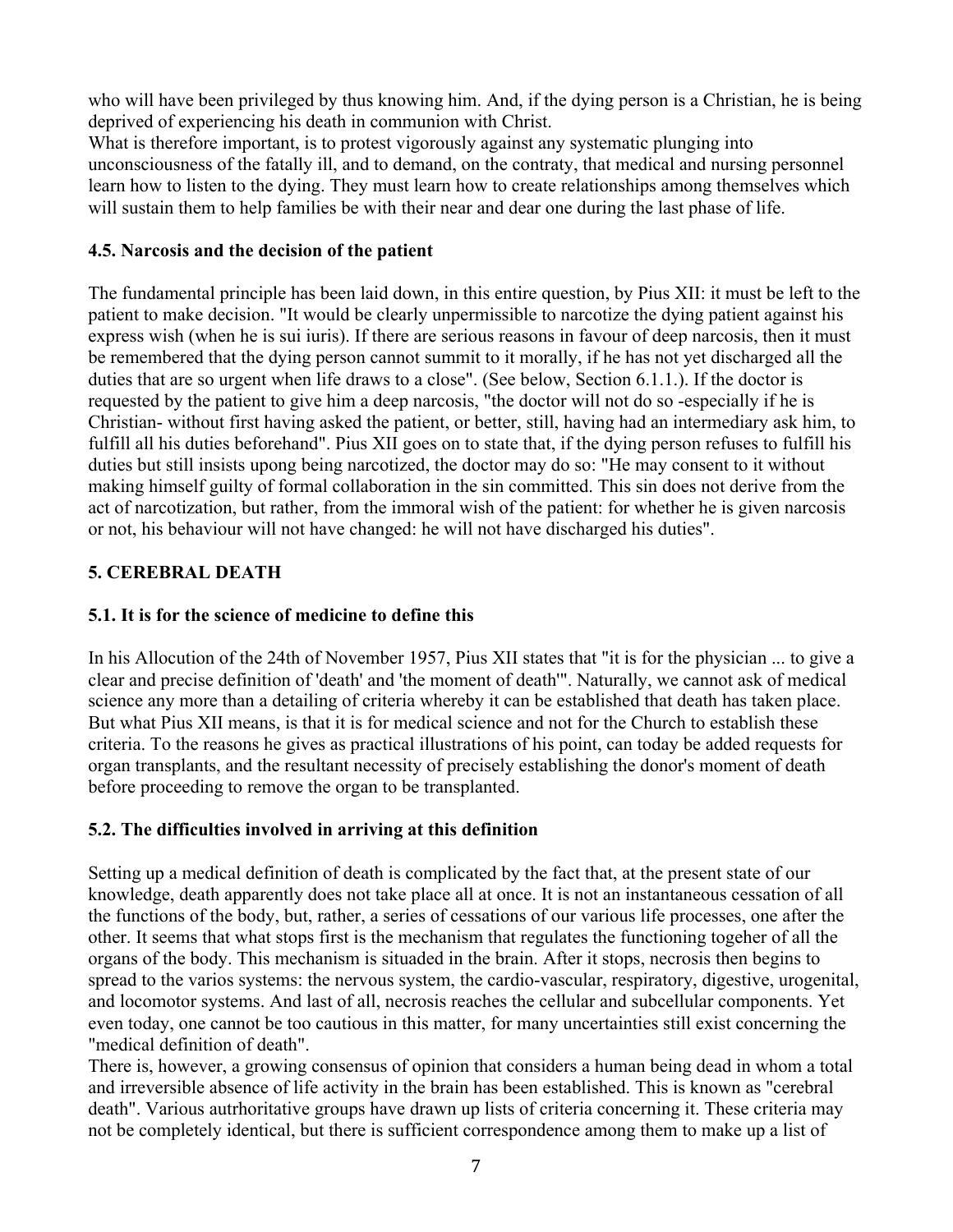who will have been privileged by thus knowing him. And, if the dying person is a Christian, he is being deprived of experiencing his death in communion with Christ.

What is therefore important, is to protest vigorously against any systematic plunging into unconsciousness of the fatally ill, and to demand, on the contraty, that medical and nursing personnel learn how to listen to the dying. They must learn how to create relationships among themselves which will sustain them to help families be with their near and dear one during the last phase of life.

#### **4.5. Narcosis and the decision of the patient**

The fundamental principle has been laid down, in this entire question, by Pius XII: it must be left to the patient to make decision. "It would be clearly unpermissible to narcotize the dying patient against his express wish (when he is sui iuris). If there are serious reasons in favour of deep narcosis, then it must be remembered that the dying person cannot summit to it morally, if he has not yet discharged all the duties that are so urgent when life draws to a close". (See below, Section 6.1.1.). If the doctor is requested by the patient to give him a deep narcosis, "the doctor will not do so -especially if he is Christian- without first having asked the patient, or better, still, having had an intermediary ask him, to fulfill all his duties beforehand". Pius XII goes on to state that, if the dying person refuses to fulfill his duties but still insists upong being narcotized, the doctor may do so: "He may consent to it without making himself guilty of formal collaboration in the sin committed. This sin does not derive from the act of narcotization, but rather, from the immoral wish of the patient: for whether he is given narcosis or not, his behaviour will not have changed: he will not have discharged his duties".

# **5. CEREBRAL DEATH**

# **5.1. It is for the science of medicine to define this**

In his Allocution of the 24th of November 1957, Pius XII states that "it is for the physician ... to give a clear and precise definition of 'death' and 'the moment of death'". Naturally, we cannot ask of medical science any more than a detailing of criteria whereby it can be established that death has taken place. But what Pius XII means, is that it is for medical science and not for the Church to establish these criteria. To the reasons he gives as practical illustrations of his point, can today be added requests for organ transplants, and the resultant necessity of precisely establishing the donor's moment of death before proceeding to remove the organ to be transplanted.

# **5.2. The difficulties involved in arriving at this definition**

Setting up a medical definition of death is complicated by the fact that, at the present state of our knowledge, death apparently does not take place all at once. It is not an instantaneous cessation of all the functions of the body, but, rather, a series of cessations of our various life processes, one after the other. It seems that what stops first is the mechanism that regulates the functioning togeher of all the organs of the body. This mechanism is situaded in the brain. After it stops, necrosis then begins to spread to the varios systems: the nervous system, the cardio-vascular, respiratory, digestive, urogenital, and locomotor systems. And last of all, necrosis reaches the cellular and subcellular components. Yet even today, one cannot be too cautious in this matter, for many uncertainties still exist concerning the "medical definition of death".

There is, however, a growing consensus of opinion that considers a human being dead in whom a total and irreversible absence of life activity in the brain has been established. This is known as "cerebral death". Various autrhoritative groups have drawn up lists of criteria concerning it. These criteria may not be completely identical, but there is sufficient correspondence among them to make up a list of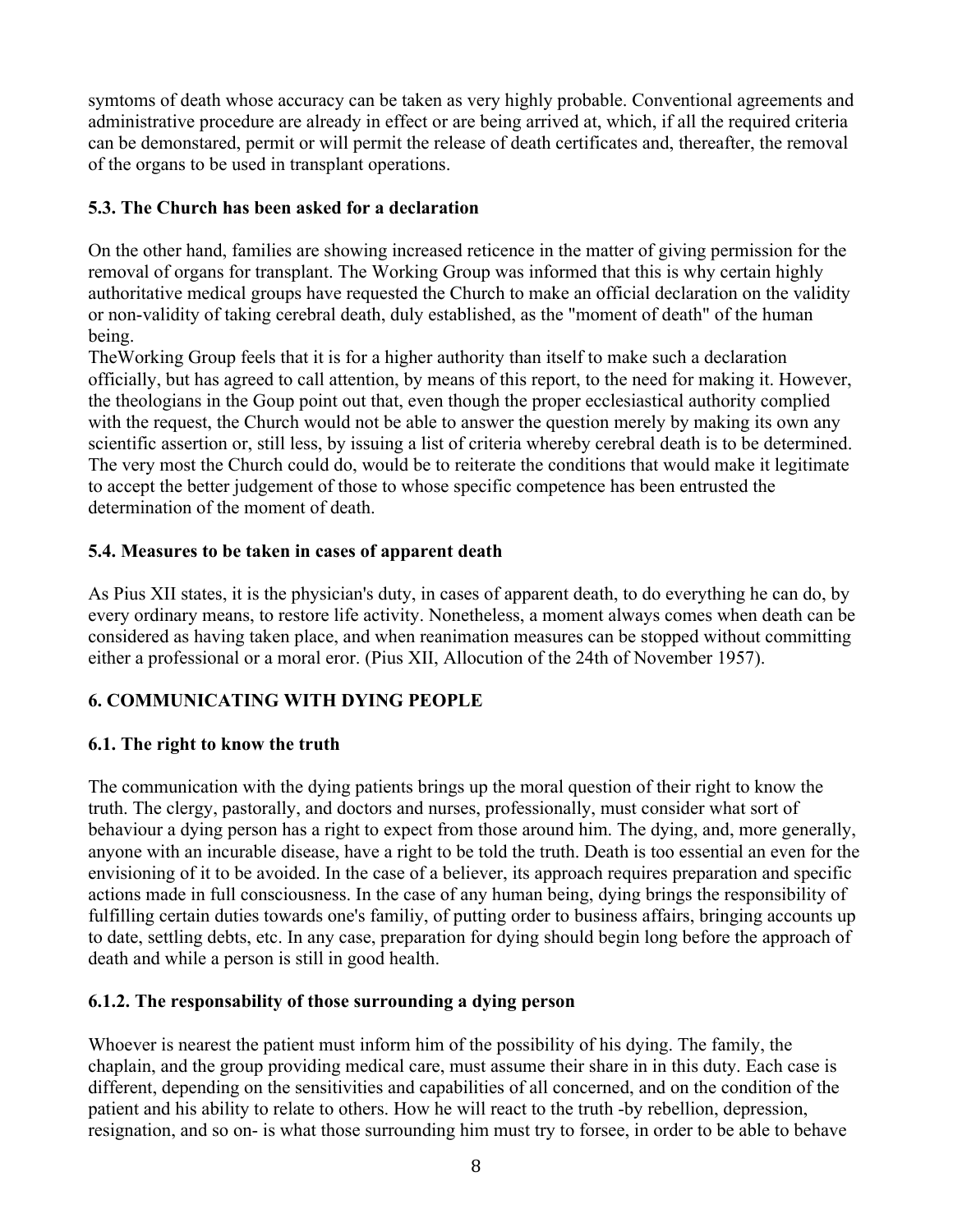symtoms of death whose accuracy can be taken as very highly probable. Conventional agreements and administrative procedure are already in effect or are being arrived at, which, if all the required criteria can be demonstared, permit or will permit the release of death certificates and, thereafter, the removal of the organs to be used in transplant operations.

### **5.3. The Church has been asked for a declaration**

On the other hand, families are showing increased reticence in the matter of giving permission for the removal of organs for transplant. The Working Group was informed that this is why certain highly authoritative medical groups have requested the Church to make an official declaration on the validity or non-validity of taking cerebral death, duly established, as the "moment of death" of the human being.

TheWorking Group feels that it is for a higher authority than itself to make such a declaration officially, but has agreed to call attention, by means of this report, to the need for making it. However, the theologians in the Goup point out that, even though the proper ecclesiastical authority complied with the request, the Church would not be able to answer the question merely by making its own any scientific assertion or, still less, by issuing a list of criteria whereby cerebral death is to be determined. The very most the Church could do, would be to reiterate the conditions that would make it legitimate to accept the better judgement of those to whose specific competence has been entrusted the determination of the moment of death.

### **5.4. Measures to be taken in cases of apparent death**

As Pius XII states, it is the physician's duty, in cases of apparent death, to do everything he can do, by every ordinary means, to restore life activity. Nonetheless, a moment always comes when death can be considered as having taken place, and when reanimation measures can be stopped without committing either a professional or a moral eror. (Pius XII, Allocution of the 24th of November 1957).

# **6. COMMUNICATING WITH DYING PEOPLE**

#### **6.1. The right to know the truth**

The communication with the dying patients brings up the moral question of their right to know the truth. The clergy, pastorally, and doctors and nurses, professionally, must consider what sort of behaviour a dying person has a right to expect from those around him. The dying, and, more generally, anyone with an incurable disease, have a right to be told the truth. Death is too essential an even for the envisioning of it to be avoided. In the case of a believer, its approach requires preparation and specific actions made in full consciousness. In the case of any human being, dying brings the responsibility of fulfilling certain duties towards one's familiy, of putting order to business affairs, bringing accounts up to date, settling debts, etc. In any case, preparation for dying should begin long before the approach of death and while a person is still in good health.

#### **6.1.2. The responsability of those surrounding a dying person**

Whoever is nearest the patient must inform him of the possibility of his dying. The family, the chaplain, and the group providing medical care, must assume their share in in this duty. Each case is different, depending on the sensitivities and capabilities of all concerned, and on the condition of the patient and his ability to relate to others. How he will react to the truth -by rebellion, depression, resignation, and so on- is what those surrounding him must try to forsee, in order to be able to behave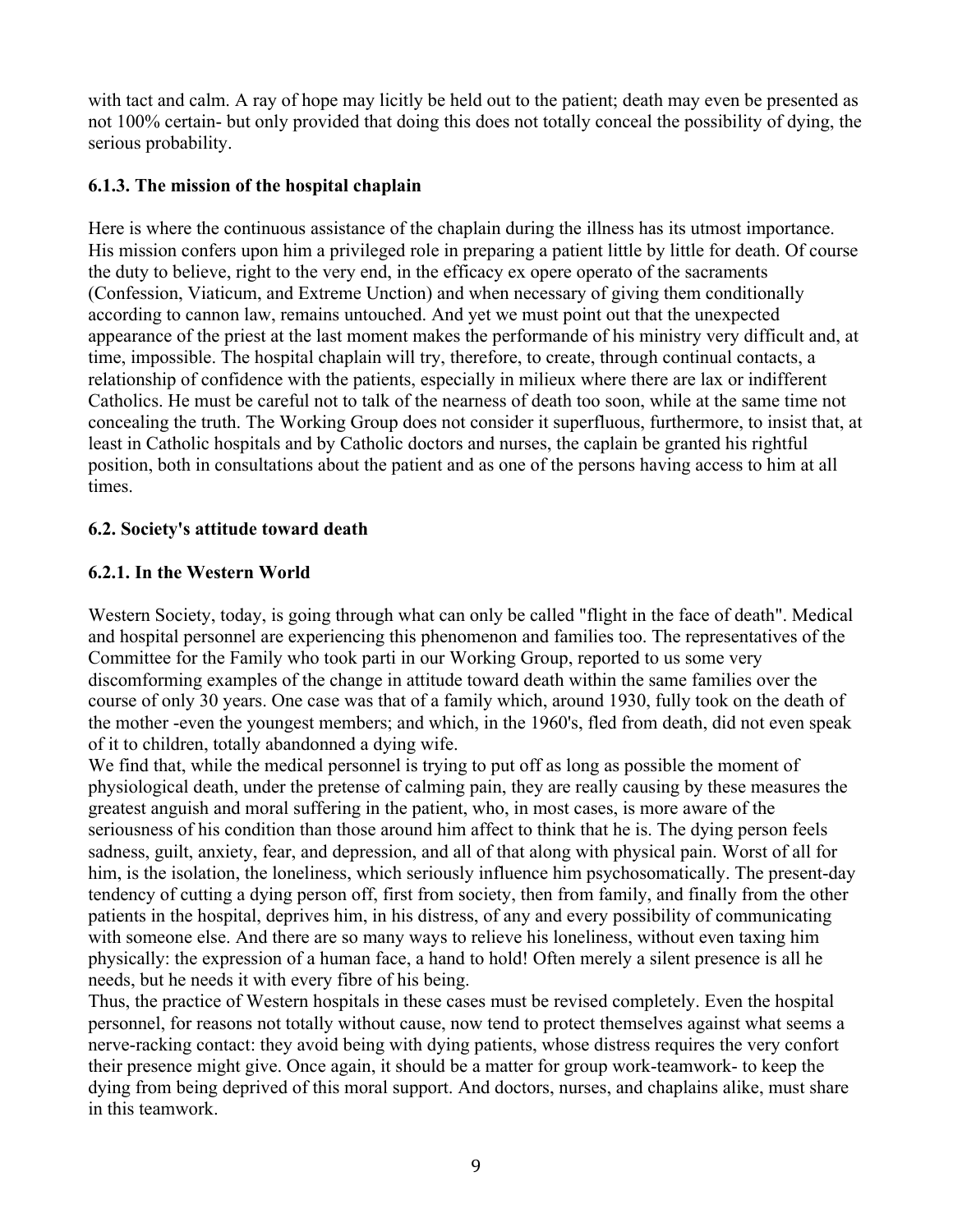with tact and calm. A ray of hope may licitly be held out to the patient; death may even be presented as not 100% certain- but only provided that doing this does not totally conceal the possibility of dying, the serious probability.

#### **6.1.3. The mission of the hospital chaplain**

Here is where the continuous assistance of the chaplain during the illness has its utmost importance. His mission confers upon him a privileged role in preparing a patient little by little for death. Of course the duty to believe, right to the very end, in the efficacy ex opere operato of the sacraments (Confession, Viaticum, and Extreme Unction) and when necessary of giving them conditionally according to cannon law, remains untouched. And yet we must point out that the unexpected appearance of the priest at the last moment makes the performande of his ministry very difficult and, at time, impossible. The hospital chaplain will try, therefore, to create, through continual contacts, a relationship of confidence with the patients, especially in milieux where there are lax or indifferent Catholics. He must be careful not to talk of the nearness of death too soon, while at the same time not concealing the truth. The Working Group does not consider it superfluous, furthermore, to insist that, at least in Catholic hospitals and by Catholic doctors and nurses, the caplain be granted his rightful position, both in consultations about the patient and as one of the persons having access to him at all times.

### **6.2. Society's attitude toward death**

### **6.2.1. In the Western World**

Western Society, today, is going through what can only be called "flight in the face of death". Medical and hospital personnel are experiencing this phenomenon and families too. The representatives of the Committee for the Family who took parti in our Working Group, reported to us some very discomforming examples of the change in attitude toward death within the same families over the course of only 30 years. One case was that of a family which, around 1930, fully took on the death of the mother -even the youngest members; and which, in the 1960's, fled from death, did not even speak of it to children, totally abandonned a dying wife.

We find that, while the medical personnel is trying to put off as long as possible the moment of physiological death, under the pretense of calming pain, they are really causing by these measures the greatest anguish and moral suffering in the patient, who, in most cases, is more aware of the seriousness of his condition than those around him affect to think that he is. The dying person feels sadness, guilt, anxiety, fear, and depression, and all of that along with physical pain. Worst of all for him, is the isolation, the loneliness, which seriously influence him psychosomatically. The present-day tendency of cutting a dying person off, first from society, then from family, and finally from the other patients in the hospital, deprives him, in his distress, of any and every possibility of communicating with someone else. And there are so many ways to relieve his loneliness, without even taxing him physically: the expression of a human face, a hand to hold! Often merely a silent presence is all he needs, but he needs it with every fibre of his being.

Thus, the practice of Western hospitals in these cases must be revised completely. Even the hospital personnel, for reasons not totally without cause, now tend to protect themselves against what seems a nerve-racking contact: they avoid being with dying patients, whose distress requires the very confort their presence might give. Once again, it should be a matter for group work-teamwork- to keep the dying from being deprived of this moral support. And doctors, nurses, and chaplains alike, must share in this teamwork.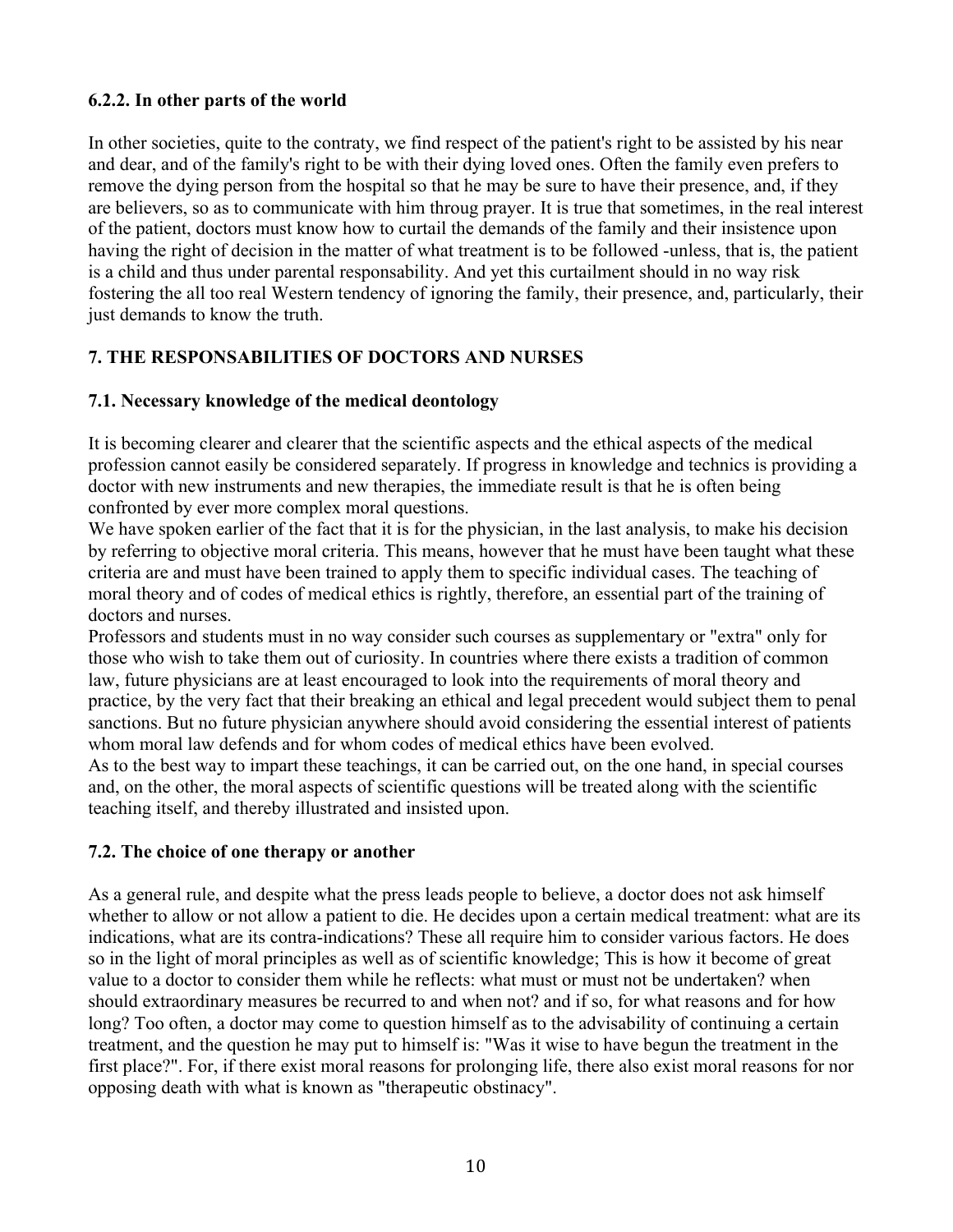#### **6.2.2. In other parts of the world**

In other societies, quite to the contraty, we find respect of the patient's right to be assisted by his near and dear, and of the family's right to be with their dying loved ones. Often the family even prefers to remove the dying person from the hospital so that he may be sure to have their presence, and, if they are believers, so as to communicate with him throug prayer. It is true that sometimes, in the real interest of the patient, doctors must know how to curtail the demands of the family and their insistence upon having the right of decision in the matter of what treatment is to be followed -unless, that is, the patient is a child and thus under parental responsability. And yet this curtailment should in no way risk fostering the all too real Western tendency of ignoring the family, their presence, and, particularly, their just demands to know the truth.

# **7. THE RESPONSABILITIES OF DOCTORS AND NURSES**

### **7.1. Necessary knowledge of the medical deontology**

It is becoming clearer and clearer that the scientific aspects and the ethical aspects of the medical profession cannot easily be considered separately. If progress in knowledge and technics is providing a doctor with new instruments and new therapies, the immediate result is that he is often being confronted by ever more complex moral questions.

We have spoken earlier of the fact that it is for the physician, in the last analysis, to make his decision by referring to objective moral criteria. This means, however that he must have been taught what these criteria are and must have been trained to apply them to specific individual cases. The teaching of moral theory and of codes of medical ethics is rightly, therefore, an essential part of the training of doctors and nurses.

Professors and students must in no way consider such courses as supplementary or "extra" only for those who wish to take them out of curiosity. In countries where there exists a tradition of common law, future physicians are at least encouraged to look into the requirements of moral theory and practice, by the very fact that their breaking an ethical and legal precedent would subject them to penal sanctions. But no future physician anywhere should avoid considering the essential interest of patients whom moral law defends and for whom codes of medical ethics have been evolved.

As to the best way to impart these teachings, it can be carried out, on the one hand, in special courses and, on the other, the moral aspects of scientific questions will be treated along with the scientific teaching itself, and thereby illustrated and insisted upon.

# **7.2. The choice of one therapy or another**

As a general rule, and despite what the press leads people to believe, a doctor does not ask himself whether to allow or not allow a patient to die. He decides upon a certain medical treatment: what are its indications, what are its contra-indications? These all require him to consider various factors. He does so in the light of moral principles as well as of scientific knowledge; This is how it become of great value to a doctor to consider them while he reflects: what must or must not be undertaken? when should extraordinary measures be recurred to and when not? and if so, for what reasons and for how long? Too often, a doctor may come to question himself as to the advisability of continuing a certain treatment, and the question he may put to himself is: "Was it wise to have begun the treatment in the first place?". For, if there exist moral reasons for prolonging life, there also exist moral reasons for nor opposing death with what is known as "therapeutic obstinacy".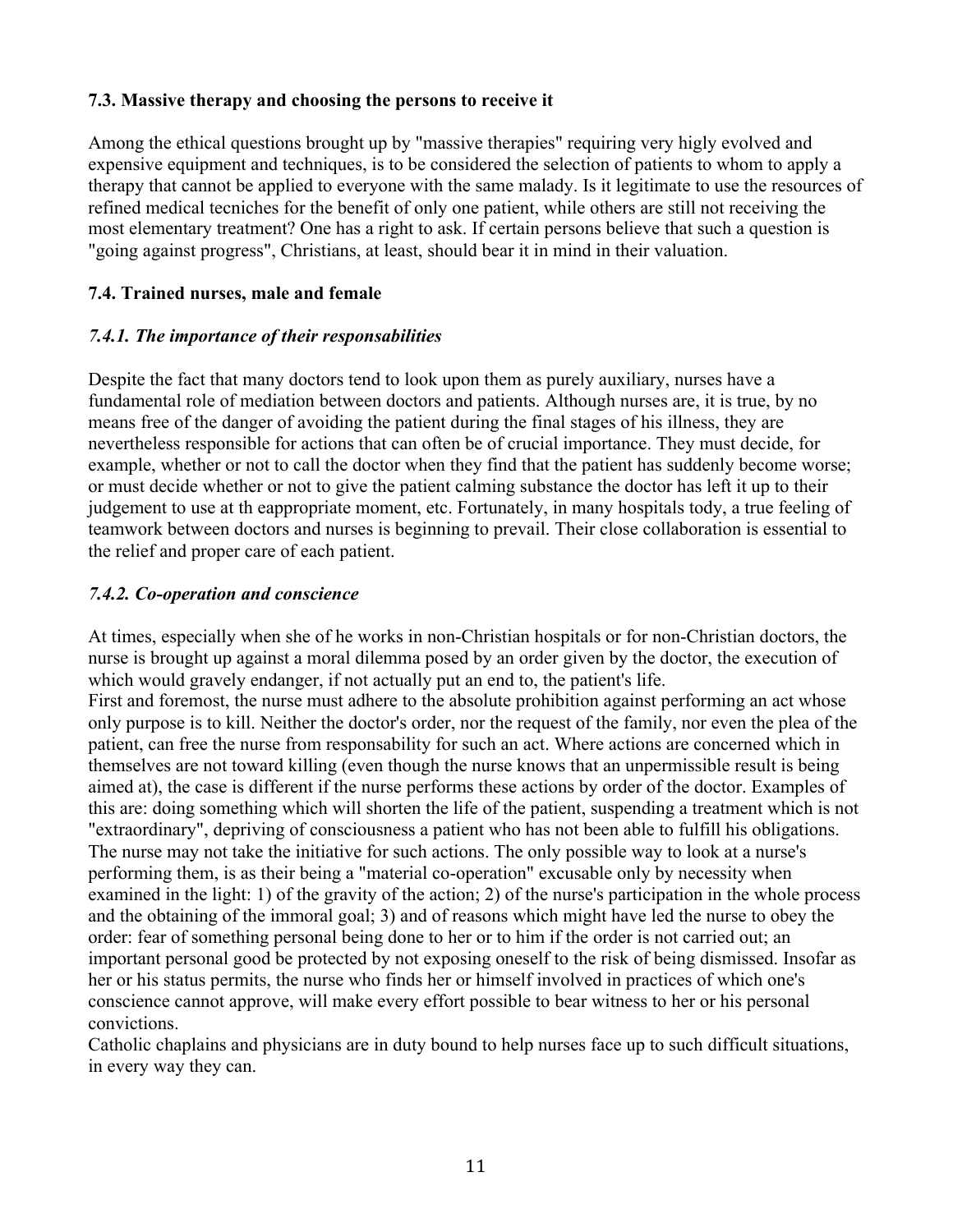#### **7.3. Massive therapy and choosing the persons to receive it**

Among the ethical questions brought up by "massive therapies" requiring very higly evolved and expensive equipment and techniques, is to be considered the selection of patients to whom to apply a therapy that cannot be applied to everyone with the same malady. Is it legitimate to use the resources of refined medical tecniches for the benefit of only one patient, while others are still not receiving the most elementary treatment? One has a right to ask. If certain persons believe that such a question is "going against progress", Christians, at least, should bear it in mind in their valuation.

#### **7.4. Trained nurses, male and female**

#### *7.4.1. The importance of their responsabilities*

Despite the fact that many doctors tend to look upon them as purely auxiliary, nurses have a fundamental role of mediation between doctors and patients. Although nurses are, it is true, by no means free of the danger of avoiding the patient during the final stages of his illness, they are nevertheless responsible for actions that can often be of crucial importance. They must decide, for example, whether or not to call the doctor when they find that the patient has suddenly become worse; or must decide whether or not to give the patient calming substance the doctor has left it up to their judgement to use at th eappropriate moment, etc. Fortunately, in many hospitals tody, a true feeling of teamwork between doctors and nurses is beginning to prevail. Their close collaboration is essential to the relief and proper care of each patient.

#### *7.4.2. Co-operation and conscience*

At times, especially when she of he works in non-Christian hospitals or for non-Christian doctors, the nurse is brought up against a moral dilemma posed by an order given by the doctor, the execution of which would gravely endanger, if not actually put an end to, the patient's life.

First and foremost, the nurse must adhere to the absolute prohibition against performing an act whose only purpose is to kill. Neither the doctor's order, nor the request of the family, nor even the plea of the patient, can free the nurse from responsability for such an act. Where actions are concerned which in themselves are not toward killing (even though the nurse knows that an unpermissible result is being aimed at), the case is different if the nurse performs these actions by order of the doctor. Examples of this are: doing something which will shorten the life of the patient, suspending a treatment which is not "extraordinary", depriving of consciousness a patient who has not been able to fulfill his obligations. The nurse may not take the initiative for such actions. The only possible way to look at a nurse's performing them, is as their being a "material co-operation" excusable only by necessity when examined in the light: 1) of the gravity of the action; 2) of the nurse's participation in the whole process and the obtaining of the immoral goal; 3) and of reasons which might have led the nurse to obey the order: fear of something personal being done to her or to him if the order is not carried out; an important personal good be protected by not exposing oneself to the risk of being dismissed. Insofar as her or his status permits, the nurse who finds her or himself involved in practices of which one's conscience cannot approve, will make every effort possible to bear witness to her or his personal convictions.

Catholic chaplains and physicians are in duty bound to help nurses face up to such difficult situations, in every way they can.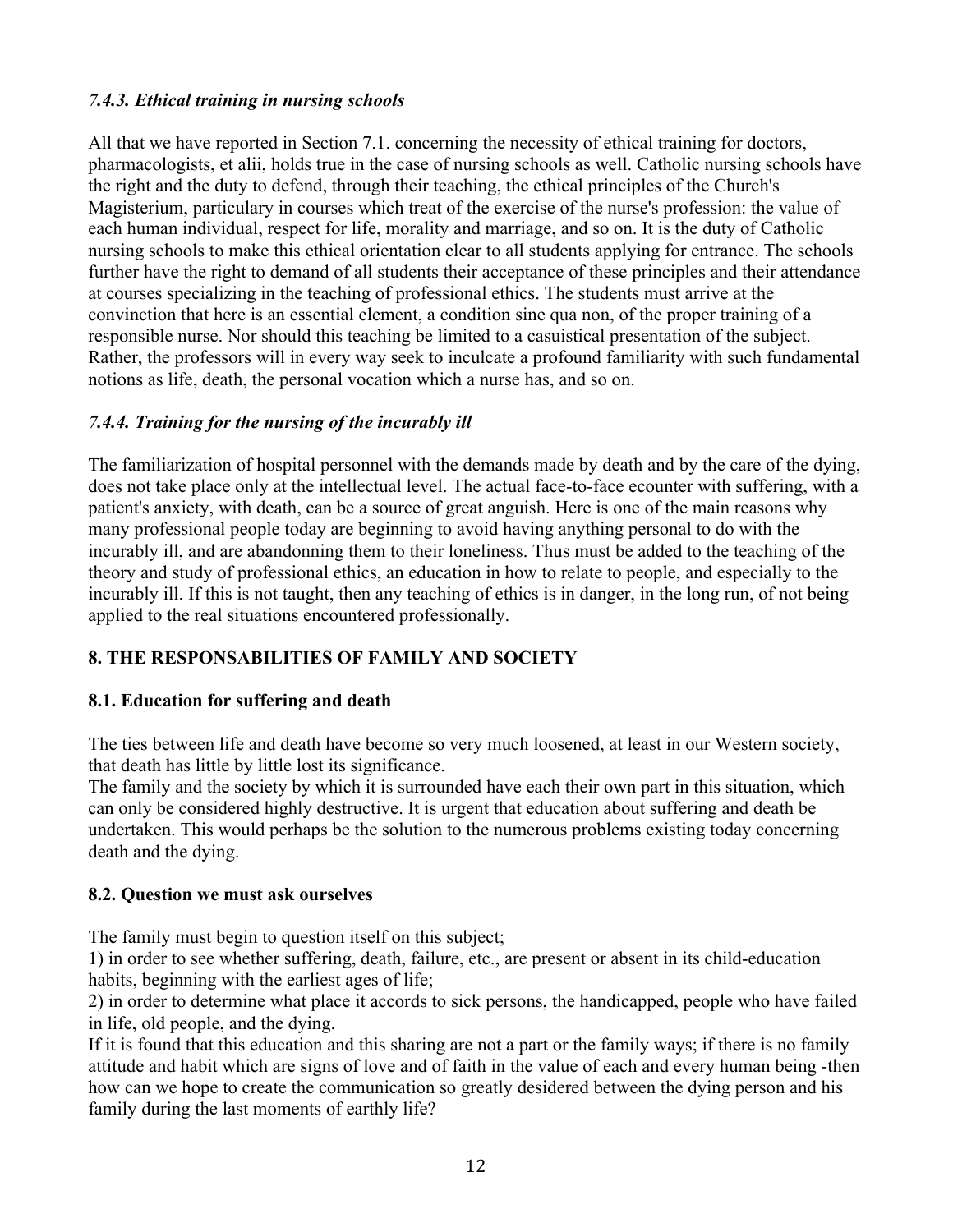### *7.4.3. Ethical training in nursing schools*

All that we have reported in Section 7.1. concerning the necessity of ethical training for doctors, pharmacologists, et alii, holds true in the case of nursing schools as well. Catholic nursing schools have the right and the duty to defend, through their teaching, the ethical principles of the Church's Magisterium, particulary in courses which treat of the exercise of the nurse's profession: the value of each human individual, respect for life, morality and marriage, and so on. It is the duty of Catholic nursing schools to make this ethical orientation clear to all students applying for entrance. The schools further have the right to demand of all students their acceptance of these principles and their attendance at courses specializing in the teaching of professional ethics. The students must arrive at the convinction that here is an essential element, a condition sine qua non, of the proper training of a responsible nurse. Nor should this teaching be limited to a casuistical presentation of the subject. Rather, the professors will in every way seek to inculcate a profound familiarity with such fundamental notions as life, death, the personal vocation which a nurse has, and so on.

### *7.4.4. Training for the nursing of the incurably ill*

The familiarization of hospital personnel with the demands made by death and by the care of the dying, does not take place only at the intellectual level. The actual face-to-face ecounter with suffering, with a patient's anxiety, with death, can be a source of great anguish. Here is one of the main reasons why many professional people today are beginning to avoid having anything personal to do with the incurably ill, and are abandonning them to their loneliness. Thus must be added to the teaching of the theory and study of professional ethics, an education in how to relate to people, and especially to the incurably ill. If this is not taught, then any teaching of ethics is in danger, in the long run, of not being applied to the real situations encountered professionally.

# **8. THE RESPONSABILITIES OF FAMILY AND SOCIETY**

#### **8.1. Education for suffering and death**

The ties between life and death have become so very much loosened, at least in our Western society, that death has little by little lost its significance.

The family and the society by which it is surrounded have each their own part in this situation, which can only be considered highly destructive. It is urgent that education about suffering and death be undertaken. This would perhaps be the solution to the numerous problems existing today concerning death and the dying.

#### **8.2. Question we must ask ourselves**

The family must begin to question itself on this subject;

1) in order to see whether suffering, death, failure, etc., are present or absent in its child-education habits, beginning with the earliest ages of life;

2) in order to determine what place it accords to sick persons, the handicapped, people who have failed in life, old people, and the dying.

If it is found that this education and this sharing are not a part or the family ways; if there is no family attitude and habit which are signs of love and of faith in the value of each and every human being -then how can we hope to create the communication so greatly desidered between the dying person and his family during the last moments of earthly life?